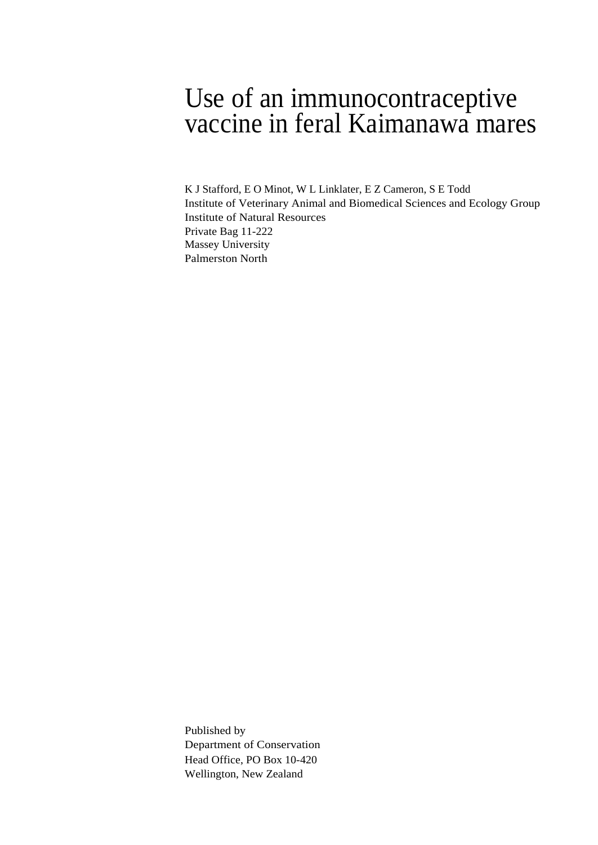# Use of an immunocontraceptive vaccine in feral Kaimanawa mares

K J Stafford, E O Minot, W L Linklater, E Z Cameron, S E Todd Institute of Veterinary Animal and Biomedical Sciences and Ecology Group Institute of Natural Resources Private Bag 11-222 Massey University Palmerston North

Published by Department of Conservation Head Office, PO Box 10-420 Wellington, New Zealand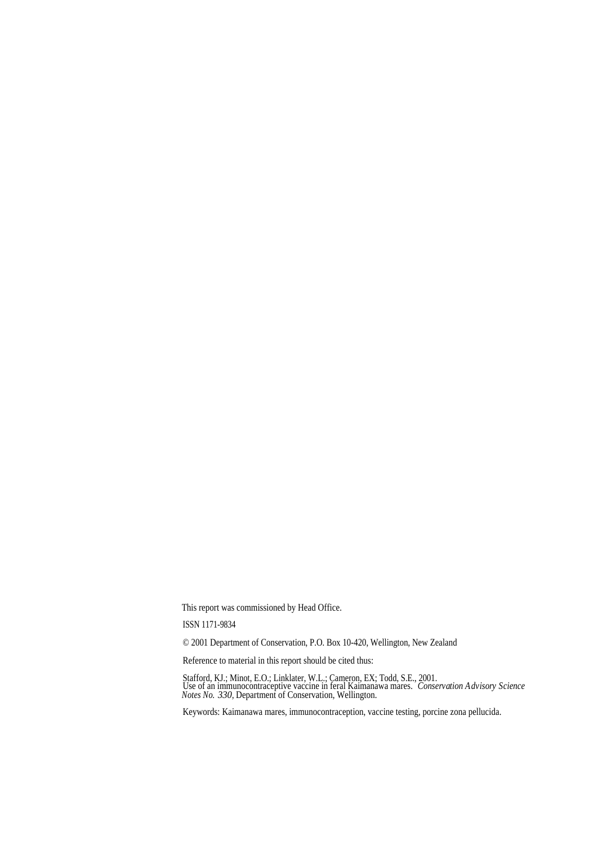This report was commissioned by Head Office.

ISSN 1171-9834

© 2001 Department of Conservation, P.O. Box 10-420, Wellington, New Zealand

Reference to material in this report should be cited thus:

Stafford, KJ.; Minot, E.O.; Linklater, W.L.; Cameron, EX; Todd, S.E., 2001. Use of an immunocontraceptive vaccine in feral Kaimanawa mares. *Conservation Advisory Science Notes No. 330*, Department of Conservation, Wellington.

Keywords: Kaimanawa mares, immunocontraception, vaccine testing, porcine zona pellucida.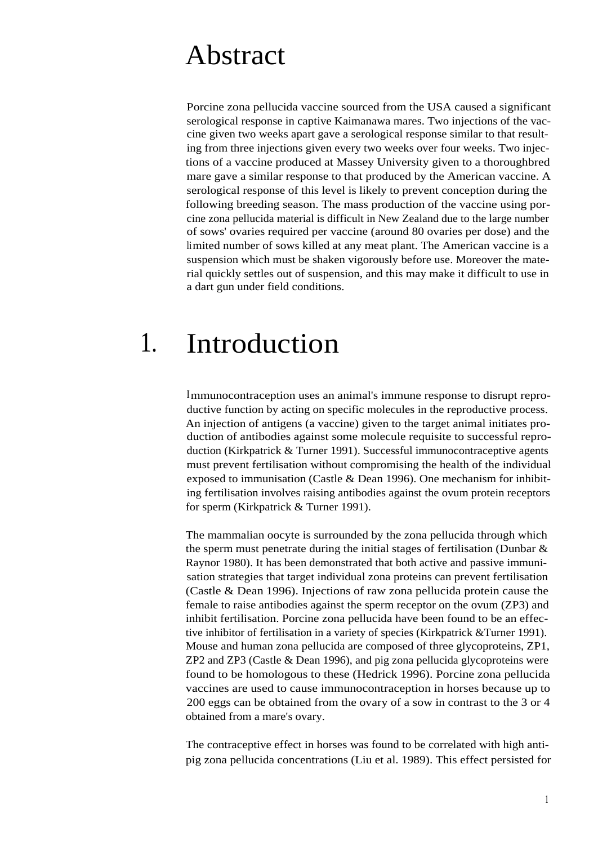# Abstract

Porcine zona pellucida vaccine sourced from the USA caused a significant serological response in captive Kaimanawa mares. Two injections of the vaccine given two weeks apart gave a serological response similar to that resulting from three injections given every two weeks over four weeks. Two injections of a vaccine produced at Massey University given to a thoroughbred mare gave a similar response to that produced by the American vaccine. A serological response of this level is likely to prevent conception during the following breeding season. The mass production of the vaccine using porcine zona pellucida material is difficult in New Zealand due to the large number of sows' ovaries required per vaccine (around 80 ovaries per dose) and the limited number of sows killed at any meat plant. The American vaccine is a suspension which must be shaken vigorously before use. Moreover the material quickly settles out of suspension, and this may make it difficult to use in a dart gun under field conditions.

# 1. Introduction

Immunocontraception uses an animal's immune response to disrupt reproductive function by acting on specific molecules in the reproductive process. An injection of antigens (a vaccine) given to the target animal initiates production of antibodies against some molecule requisite to successful reproduction (Kirkpatrick & Turner 1991). Successful immunocontraceptive agents must prevent fertilisation without compromising the health of the individual exposed to immunisation (Castle & Dean 1996). One mechanism for inhibiting fertilisation involves raising antibodies against the ovum protein receptors for sperm (Kirkpatrick & Turner 1991).

The mammalian oocyte is surrounded by the zona pellucida through which the sperm must penetrate during the initial stages of fertilisation (Dunbar  $\&$ Raynor 1980). It has been demonstrated that both active and passive immunisation strategies that target individual zona proteins can prevent fertilisation (Castle & Dean 1996). Injections of raw zona pellucida protein cause the female to raise antibodies against the sperm receptor on the ovum (ZP3) and inhibit fertilisation. Porcine zona pellucida have been found to be an effective inhibitor of fertilisation in a variety of species (Kirkpatrick &Turner 1991). Mouse and human zona pellucida are composed of three glycoproteins, ZP1, ZP2 and ZP3 (Castle & Dean 1996), and pig zona pellucida glycoproteins were found to be homologous to these (Hedrick 1996). Porcine zona pellucida vaccines are used to cause immunocontraception in horses because up to 200 eggs can be obtained from the ovary of a sow in contrast to the 3 or 4 obtained from a mare's ovary.

The contraceptive effect in horses was found to be correlated with high antipig zona pellucida concentrations (Liu et al. 1989). This effect persisted for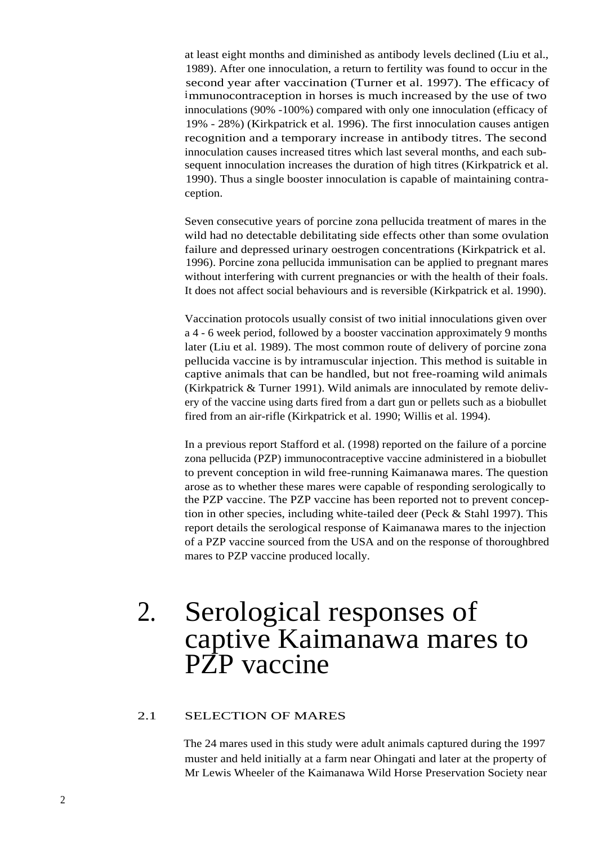at least eight months and diminished as antibody levels declined (Liu et al., 1989). After one innoculation, a return to fertility was found to occur in the second year after vaccination (Turner et al. 1997). The efficacy of immunocontraception in horses is much increased by the use of two innoculations (90% -100%) compared with only one innoculation (efficacy of 19% - 28%) (Kirkpatrick et al. 1996). The first innoculation causes antigen recognition and a temporary increase in antibody titres. The second innoculation causes increased titres which last several months, and each subsequent innoculation increases the duration of high titres (Kirkpatrick et al. 1990). Thus a single booster innoculation is capable of maintaining contraception.

Seven consecutive years of porcine zona pellucida treatment of mares in the wild had no detectable debilitating side effects other than some ovulation failure and depressed urinary oestrogen concentrations (Kirkpatrick et al. 1996). Porcine zona pellucida immunisation can be applied to pregnant mares without interfering with current pregnancies or with the health of their foals. It does not affect social behaviours and is reversible (Kirkpatrick et al. 1990).

Vaccination protocols usually consist of two initial innoculations given over a 4 - 6 week period, followed by a booster vaccination approximately 9 months later (Liu et al. 1989). The most common route of delivery of porcine zona pellucida vaccine is by intramuscular injection. This method is suitable in captive animals that can be handled, but not free-roaming wild animals (Kirkpatrick & Turner 1991). Wild animals are innoculated by remote delivery of the vaccine using darts fired from a dart gun or pellets such as a biobullet fired from an air-rifle (Kirkpatrick et al. 1990; Willis et al. 1994).

In a previous report Stafford et al. (1998) reported on the failure of a porcine zona pellucida (PZP) immunocontraceptive vaccine administered in a biobullet to prevent conception in wild free-running Kaimanawa mares. The question arose as to whether these mares were capable of responding serologically to the PZP vaccine. The PZP vaccine has been reported not to prevent conception in other species, including white-tailed deer (Peck & Stahl 1997). This report details the serological response of Kaimanawa mares to the injection of a PZP vaccine sourced from the USA and on the response of thoroughbred mares to PZP vaccine produced locally.

# 2. Serological responses of captive Kaimanawa mares to PZP vaccine

# 2.1 SELECTION OF MARES

The 24 mares used in this study were adult animals captured during the 1997 muster and held initially at a farm near Ohingati and later at the property of Mr Lewis Wheeler of the Kaimanawa Wild Horse Preservation Society near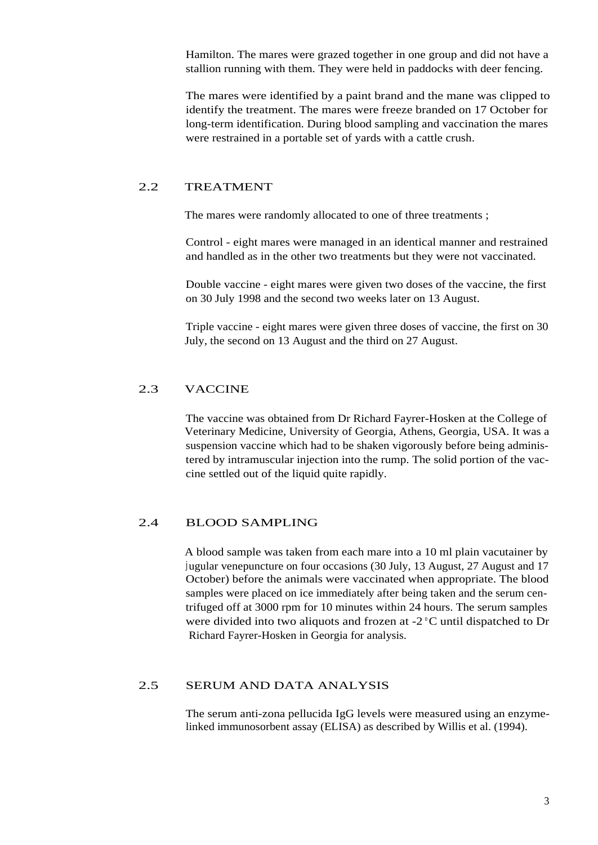Hamilton. The mares were grazed together in one group and did not have a stallion running with them. They were held in paddocks with deer fencing.

The mares were identified by a paint brand and the mane was clipped to identify the treatment. The mares were freeze branded on 17 October for long-term identification. During blood sampling and vaccination the mares were restrained in a portable set of yards with a cattle crush.

# 2.2 TREATMENT

The mares were randomly allocated to one of three treatments ;

Control - eight mares were managed in an identical manner and restrained and handled as in the other two treatments but they were not vaccinated.

Double vaccine - eight mares were given two doses of the vaccine, the first on 30 July 1998 and the second two weeks later on 13 August.

Triple vaccine - eight mares were given three doses of vaccine, the first on 30 July, the second on 13 August and the third on 27 August.

# 2.3 VACCINE

The vaccine was obtained from Dr Richard Fayrer-Hosken at the College of Veterinary Medicine, University of Georgia, Athens, Georgia, USA. It was a suspension vaccine which had to be shaken vigorously before being administered by intramuscular injection into the rump. The solid portion of the vaccine settled out of the liquid quite rapidly.

# 2.4 BLOOD SAMPLING

A blood sample was taken from each mare into a 10 ml plain vacutainer by jugular venepuncture on four occasions (30 July, 13 August, 27 August and 17 October) before the animals were vaccinated when appropriate. The blood samples were placed on ice immediately after being taken and the serum centrifuged off at 3000 rpm for 10 minutes within 24 hours. The serum samples were divided into two aliquots and frozen at -2 °C until dispatched to Dr Richard Fayrer-Hosken in Georgia for analysis.

### 2.5 SERUM AND DATA ANALYSIS

The serum anti-zona pellucida IgG levels were measured using an enzymelinked immunosorbent assay (ELISA) as described by Willis et al. (1994).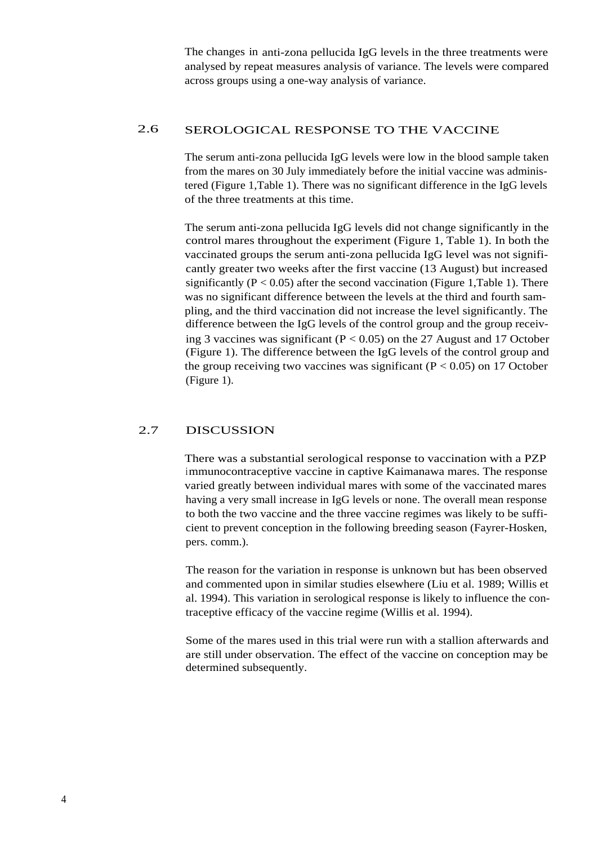The changes in anti-zona pellucida IgG levels in the three treatments were analysed by repeat measures analysis of variance. The levels were compared across groups using a one-way analysis of variance.

## 2.6 SEROLOGICAL RESPONSE TO THE VACCINE

The serum anti-zona pellucida IgG levels were low in the blood sample taken from the mares on 30 July immediately before the initial vaccine was administered (Figure 1,Table 1). There was no significant difference in the IgG levels of the three treatments at this time.

The serum anti-zona pellucida IgG levels did not change significantly in the control mares throughout the experiment (Figure 1, Table 1). In both the vaccinated groups the serum anti-zona pellucida IgG level was not significantly greater two weeks after the first vaccine (13 August) but increased significantly ( $P < 0.05$ ) after the second vaccination (Figure 1,Table 1). There was no significant difference between the levels at the third and fourth sampling, and the third vaccination did not increase the level significantly. The difference between the IgG levels of the control group and the group receiving 3 vaccines was significant ( $P < 0.05$ ) on the 27 August and 17 October (Figure 1). The difference between the IgG levels of the control group and the group receiving two vaccines was significant ( $P < 0.05$ ) on 17 October (Figure 1).

# 2.7 DISCUSSION

There was a substantial serological response to vaccination with a PZP immunocontraceptive vaccine in captive Kaimanawa mares. The response varied greatly between individual mares with some of the vaccinated mares having a very small increase in IgG levels or none. The overall mean response to both the two vaccine and the three vaccine regimes was likely to be sufficient to prevent conception in the following breeding season (Fayrer-Hosken, pers. comm.).

The reason for the variation in response is unknown but has been observed and commented upon in similar studies elsewhere (Liu et al. 1989; Willis et al. 1994). This variation in serological response is likely to influence the contraceptive efficacy of the vaccine regime (Willis et al. 1994).

Some of the mares used in this trial were run with a stallion afterwards and are still under observation. The effect of the vaccine on conception may be determined subsequently.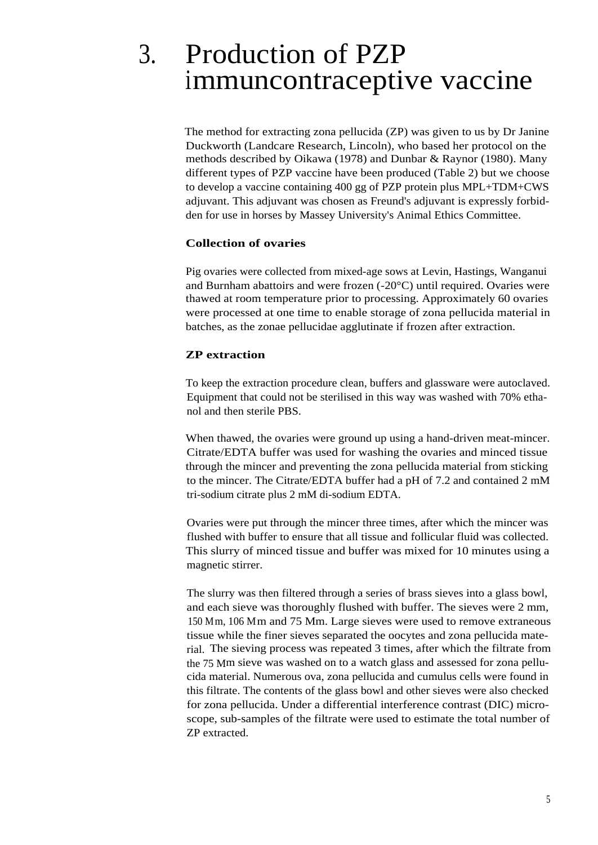# 3. Production of PZP immuncontraceptive vaccine

The method for extracting zona pellucida (ZP) was given to us by Dr Janine Duckworth (Landcare Research, Lincoln), who based her protocol on the methods described by Oikawa (1978) and Dunbar & Raynor (1980). Many different types of PZP vaccine have been produced (Table 2) but we choose to develop a vaccine containing 400 gg of PZP protein plus MPL+TDM+CWS adjuvant. This adjuvant was chosen as Freund's adjuvant is expressly forbidden for use in horses by Massey University's Animal Ethics Committee.

# **Collection of ovaries**

Pig ovaries were collected from mixed-age sows at Levin, Hastings, Wanganui and Burnham abattoirs and were frozen (-20°C) until required. Ovaries were thawed at room temperature prior to processing. Approximately 60 ovaries were processed at one time to enable storage of zona pellucida material in batches, as the zonae pellucidae agglutinate if frozen after extraction.

# **ZP extraction**

To keep the extraction procedure clean, buffers and glassware were autoclaved. Equipment that could not be sterilised in this way was washed with 70% ethanol and then sterile PBS.

When thawed, the ovaries were ground up using a hand-driven meat-mincer. Citrate/EDTA buffer was used for washing the ovaries and minced tissue through the mincer and preventing the zona pellucida material from sticking to the mincer. The Citrate/EDTA buffer had a pH of 7.2 and contained 2 mM tri-sodium citrate plus 2 mM di-sodium EDTA.

Ovaries were put through the mincer three times, after which the mincer was flushed with buffer to ensure that all tissue and follicular fluid was collected. This slurry of minced tissue and buffer was mixed for 10 minutes using a magnetic stirrer.

The slurry was then filtered through a series of brass sieves into a glass bowl, and each sieve was thoroughly flushed with buffer. The sieves were 2 mm, 150 Mm, 106 Mm and 75 Mm. Large sieves were used to remove extraneous tissue while the finer sieves separated the oocytes and zona pellucida material. The sieving process was repeated 3 times, after which the filtrate from the 75 Mm sieve was washed on to a watch glass and assessed for zona pellucida material. Numerous ova, zona pellucida and cumulus cells were found in this filtrate. The contents of the glass bowl and other sieves were also checked for zona pellucida. Under a differential interference contrast (DIC) microscope, sub-samples of the filtrate were used to estimate the total number of ZP extracted.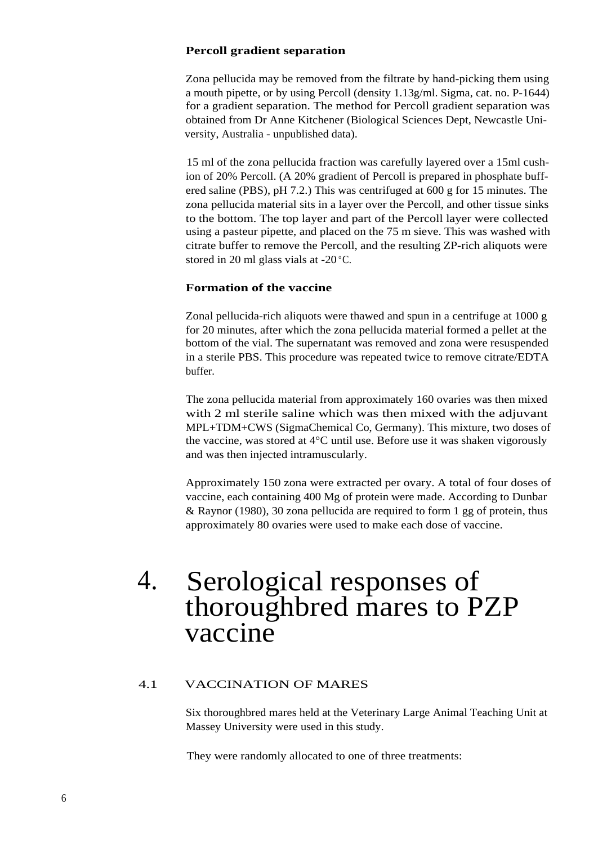#### **Percoll gradient separation**

Zona pellucida may be removed from the filtrate by hand-picking them using a mouth pipette, or by using Percoll (density 1.13g/ml. Sigma, cat. no. P-1644) for a gradient separation. The method for Percoll gradient separation was obtained from Dr Anne Kitchener (Biological Sciences Dept, Newcastle University, Australia - unpublished data).

15 ml of the zona pellucida fraction was carefully layered over a 15ml cushion of 20% Percoll. (A 20% gradient of Percoll is prepared in phosphate buffered saline (PBS), pH 7.2.) This was centrifuged at 600 g for 15 minutes. The zona pellucida material sits in a layer over the Percoll, and other tissue sinks to the bottom. The top layer and part of the Percoll layer were collected using a pasteur pipette, and placed on the 75 m sieve. This was washed with citrate buffer to remove the Percoll, and the resulting ZP-rich aliquots were stored in 20 ml glass vials at -20 °C.

# **Formation of the vaccine**

Zonal pellucida-rich aliquots were thawed and spun in a centrifuge at 1000 g for 20 minutes, after which the zona pellucida material formed a pellet at the bottom of the vial. The supernatant was removed and zona were resuspended in a sterile PBS. This procedure was repeated twice to remove citrate/EDTA buffer.

The zona pellucida material from approximately 160 ovaries was then mixed with 2 ml sterile saline which was then mixed with the adjuvant MPL+TDM+CWS (SigmaChemical Co, Germany). This mixture, two doses of the vaccine, was stored at 4°C until use. Before use it was shaken vigorously and was then injected intramuscularly.

Approximately 150 zona were extracted per ovary. A total of four doses of vaccine, each containing 400 Mg of protein were made. According to Dunbar & Raynor (1980), 30 zona pellucida are required to form 1 gg of protein, thus approximately 80 ovaries were used to make each dose of vaccine.

# 4. Serological responses of thoroughbred mares to PZP vaccine

# 4.1 VACCINATION OF MARES

Six thoroughbred mares held at the Veterinary Large Animal Teaching Unit at Massey University were used in this study.

They were randomly allocated to one of three treatments: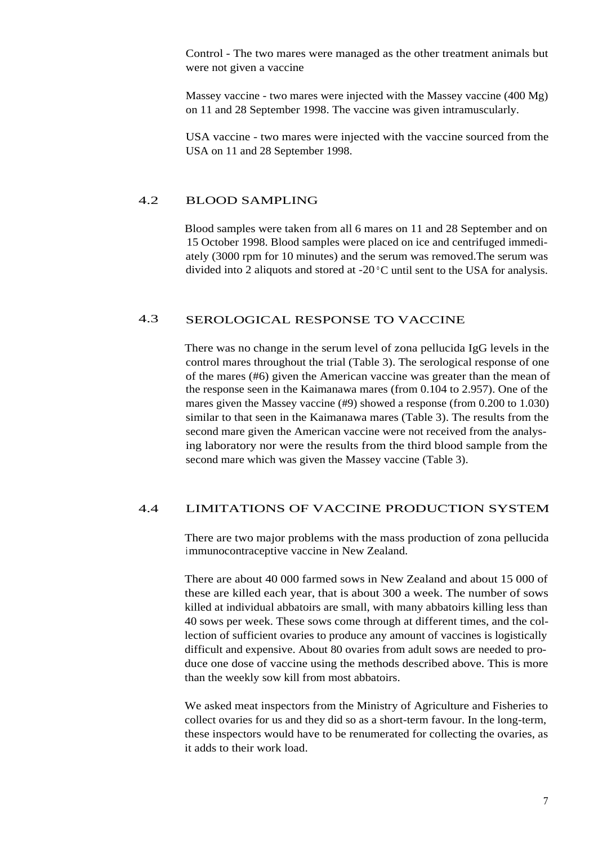Control - The two mares were managed as the other treatment animals but were not given a vaccine

Massey vaccine - two mares were injected with the Massey vaccine (400 Mg) on 11 and 28 September 1998. The vaccine was given intramuscularly.

USA vaccine - two mares were injected with the vaccine sourced from the USA on 11 and 28 September 1998.

## 4.2 BLOOD SAMPLING

Blood samples were taken from all 6 mares on 11 and 28 September and on 15 October 1998. Blood samples were placed on ice and centrifuged immediately (3000 rpm for 10 minutes) and the serum was removed.The serum was divided into 2 aliquots and stored at  $-20\degree$ C until sent to the USA for analysis.

# 4.3 SEROLOGICAL RESPONSE TO VACCINE

There was no change in the serum level of zona pellucida IgG levels in the control mares throughout the trial (Table 3). The serological response of one of the mares (#6) given the American vaccine was greater than the mean of the response seen in the Kaimanawa mares (from 0.104 to 2.957). One of the mares given the Massey vaccine (#9) showed a response (from 0.200 to 1.030) similar to that seen in the Kaimanawa mares (Table 3). The results from the second mare given the American vaccine were not received from the analysing laboratory nor were the results from the third blood sample from the second mare which was given the Massey vaccine (Table 3).

#### 4.4 LIMITATIONS OF VACCINE PRODUCTION SYSTEM

There are two major problems with the mass production of zona pellucida immunocontraceptive vaccine in New Zealand.

There are about 40 000 farmed sows in New Zealand and about 15 000 of these are killed each year, that is about 300 a week. The number of sows killed at individual abbatoirs are small, with many abbatoirs killing less than 40 sows per week. These sows come through at different times, and the collection of sufficient ovaries to produce any amount of vaccines is logistically difficult and expensive. About 80 ovaries from adult sows are needed to produce one dose of vaccine using the methods described above. This is more than the weekly sow kill from most abbatoirs.

We asked meat inspectors from the Ministry of Agriculture and Fisheries to collect ovaries for us and they did so as a short-term favour. In the long-term, these inspectors would have to be renumerated for collecting the ovaries, as it adds to their work load.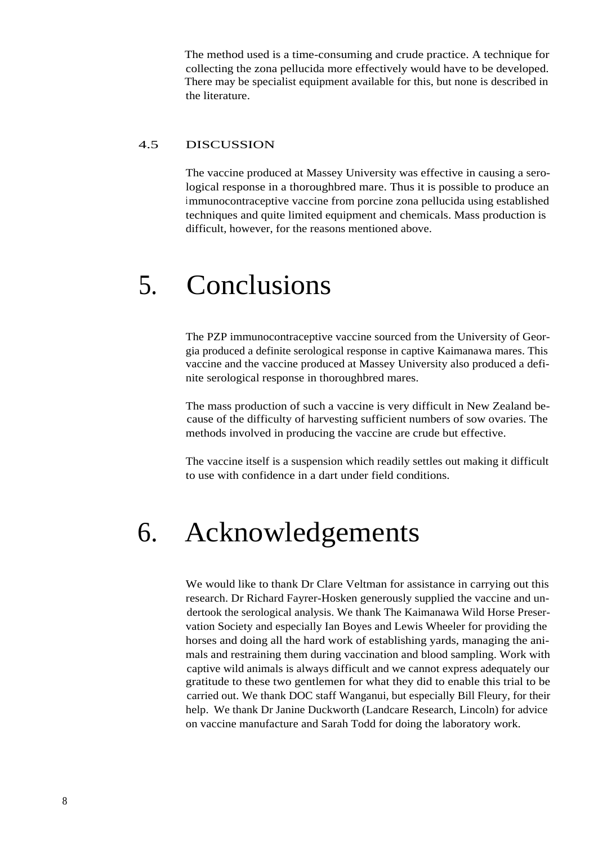The method used is a time-consuming and crude practice. A technique for collecting the zona pellucida more effectively would have to be developed. There may be specialist equipment available for this, but none is described in the literature.

### 4.5 DISCUSSION

The vaccine produced at Massey University was effective in causing a serological response in a thoroughbred mare. Thus it is possible to produce an immunocontraceptive vaccine from porcine zona pellucida using established techniques and quite limited equipment and chemicals. Mass production is difficult, however, for the reasons mentioned above.

# 5. Conclusions

The PZP immunocontraceptive vaccine sourced from the University of Georgia produced a definite serological response in captive Kaimanawa mares. This vaccine and the vaccine produced at Massey University also produced a definite serological response in thoroughbred mares.

The mass production of such a vaccine is very difficult in New Zealand because of the difficulty of harvesting sufficient numbers of sow ovaries. The methods involved in producing the vaccine are crude but effective.

The vaccine itself is a suspension which readily settles out making it difficult to use with confidence in a dart under field conditions.

# 6. Acknowledgements

We would like to thank Dr Clare Veltman for assistance in carrying out this research. Dr Richard Fayrer-Hosken generously supplied the vaccine and undertook the serological analysis. We thank The Kaimanawa Wild Horse Preservation Society and especially Ian Boyes and Lewis Wheeler for providing the horses and doing all the hard work of establishing yards, managing the animals and restraining them during vaccination and blood sampling. Work with captive wild animals is always difficult and we cannot express adequately our gratitude to these two gentlemen for what they did to enable this trial to be carried out. We thank DOC staff Wanganui, but especially Bill Fleury, for their help. We thank Dr Janine Duckworth (Landcare Research, Lincoln) for advice on vaccine manufacture and Sarah Todd for doing the laboratory work.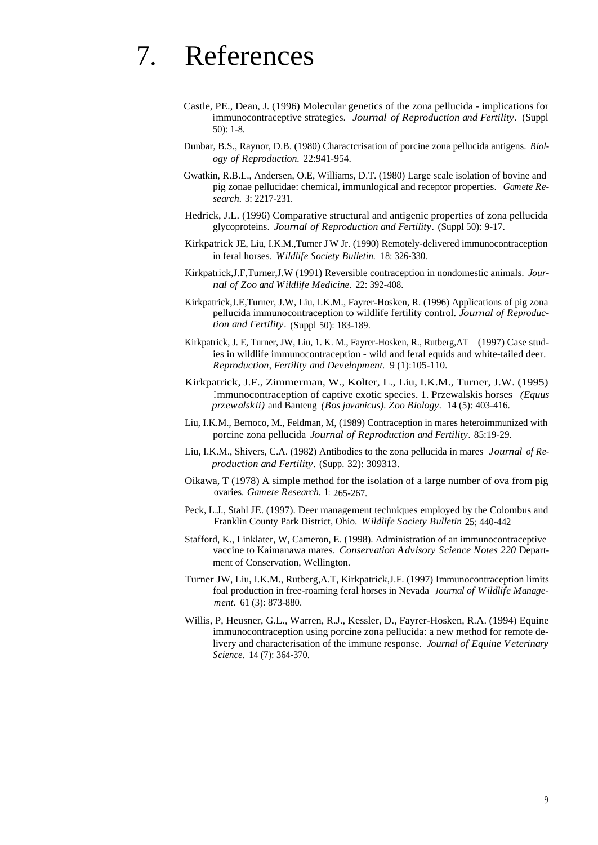# 7. References

- Castle, PE., Dean, J. (1996) Molecular genetics of the zona pellucida implications for immunocontraceptive strategies. *Journal of Reproduction and Fertility.* (Suppl 50): 1-8.
- Dunbar, B.S., Raynor, D.B. (1980) Charactcrisation of porcine zona pellucida antigens. *Biology of Reproduction.* 22:941-954.
- Gwatkin, R.B.L., Andersen, O.E, Williams, D.T. (1980) Large scale isolation of bovine and pig zonae pellucidae: chemical, immunlogical and receptor properties. *Gamete Research.* 3: 2217-231.
- Hedrick, J.L. (1996) Comparative structural and antigenic properties of zona pellucida glycoproteins. *Journal of Reproduction and Fertility.* (Suppl 50): 9-17.
- Kirkpatrick JE, Liu, I.K.M.,Turner JW Jr. (1990) Remotely-delivered immunocontraception in feral horses. *Wildlife Society Bulletin.* 18: 326-330.
- Kirkpatrick,J.F,Turner,J.W (1991) Reversible contraception in nondomestic animals. *Journal of Zoo and Wildlife Medicine.* 22: 392-408.
- Kirkpatrick,J.E,Turner, J.W, Liu, I.K.M., Fayrer-Hosken, R. (1996) Applications of pig zona pellucida immunocontraception to wildlife fertility control. *Journal of Reproduction and Fertility.* (Suppl 50): 183-189.
- Kirkpatrick, J. E, Turner, JW, Liu, 1. K. M., Fayrer-Hosken, R., Rutberg,AT (1997) Case studies in wildlife immunocontraception - wild and feral equids and white-tailed deer. *Reproduction, Fertility and Development.* 9 (1):105-110.
- Kirkpatrick, J.F., Zimmerman, W., Kolter, L., Liu, I.K.M., Turner, J.W. (1995) Immunocontraception of captive exotic species. 1. Przewalskis horses *(Equus przewalskii)* and Banteng *(Bos javanicus). Zoo Biology.* 14 (5): 403-416.
- Liu, I.K.M., Bernoco, M., Feldman, M, (1989) Contraception in mares heteroimmunized with porcine zona pellucida *Journal of Reproduction and Fertility.* 85:19-29.
- Liu, I.K.M., Shivers, C.A. (1982) Antibodies to the zona pellucida in mares *Journal of Reproduction and Fertility.* (Supp. 32): 309313.
- Oikawa, T (1978) A simple method for the isolation of a large number of ova from pig ovaries. *Gamete Research.* 1: 265-267.
- Peck, L.J., Stahl JE. (1997). Deer management techniques employed by the Colombus and Franklin County Park District, Ohio. *Wildlife Society Bulletin* 25; 440-442
- Stafford, K., Linklater, W, Cameron, E. (1998). Administration of an immunocontraceptive vaccine to Kaimanawa mares. *Conservation Advisory Science Notes 220* Department of Conservation, Wellington.
- Turner JW, Liu, I.K.M., Rutberg,A.T, Kirkpatrick,J.F. (1997) Immunocontraception limits foal production in free-roaming feral horses in Nevada *Journal of Wildlife Management.* 61 (3): 873-880.
- Willis, P, Heusner, G.L., Warren, R.J., Kessler, D., Fayrer-Hosken, R.A. (1994) Equine immunocontraception using porcine zona pellucida: a new method for remote delivery and characterisation of the immune response. *Journal of Equine Veterinary Science.* 14 (7): 364-370.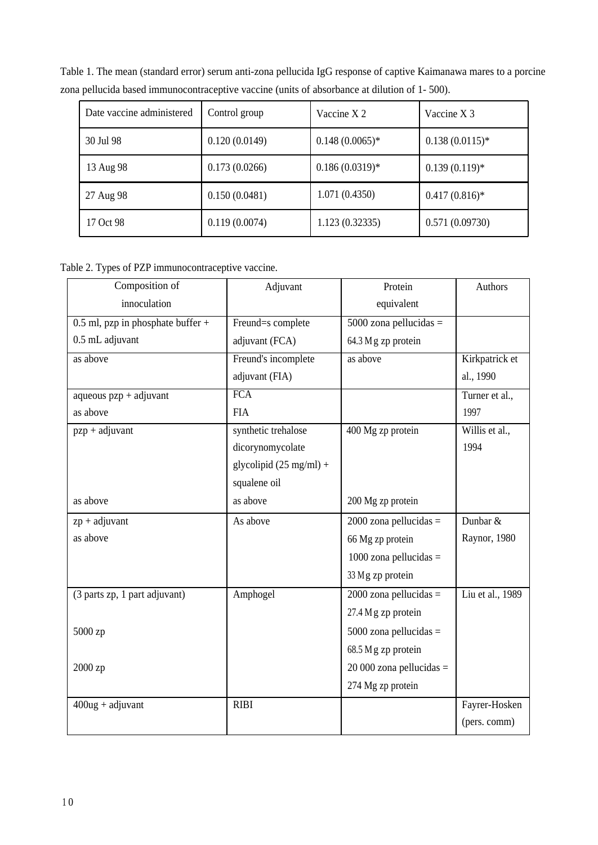| Date vaccine administered | Control group | Vaccine X 2      | Vaccine X 3      |
|---------------------------|---------------|------------------|------------------|
| 30 Jul 98                 | 0.120(0.0149) | $0.148(0.0065)*$ | $0.138(0.0115)*$ |
| 13 Aug 98                 | 0.173(0.0266) | $0.186(0.0319)*$ | $0.139(0.119)*$  |
| 27 Aug 98                 | 0.150(0.0481) | 1.071(0.4350)    | $0.417(0.816)*$  |
| 17 Oct 98                 | 0.119(0.0074) | 1.123(0.32335)   | 0.571(0.09730)   |

Table 1. The mean (standard error) serum anti-zona pellucida IgG response of captive Kaimanawa mares to a porcine zona pellucida based immunocontraceptive vaccine (units of absorbance at dilution of 1- 500).

Table 2. Types of PZP immunocontraceptive vaccine.

| Composition of                      | Adjuvant                          | Protein                   | Authors          |
|-------------------------------------|-----------------------------------|---------------------------|------------------|
| innoculation                        |                                   | equivalent                |                  |
| 0.5 ml, pzp in phosphate buffer $+$ | Freund=s complete                 | $5000$ zona pellucidas =  |                  |
| 0.5 mL adjuvant                     | adjuvant (FCA)                    | 64.3 Mg zp protein        |                  |
| as above                            | Freund's incomplete               | as above                  | Kirkpatrick et   |
|                                     | adjuvant (FIA)                    |                           | al., 1990        |
| aqueous $pzp + adjuvant$            | <b>FCA</b>                        |                           | Turner et al.,   |
| as above                            | <b>FIA</b>                        |                           | 1997             |
| $pzp + adjuvant$                    | synthetic trehalose               | 400 Mg zp protein         | Willis et al.,   |
|                                     | dicorynomycolate                  |                           | 1994             |
|                                     | glycolipid $(25 \text{ mg/ml}) +$ |                           |                  |
|                                     | squalene oil                      |                           |                  |
| as above                            | as above                          | 200 Mg zp protein         |                  |
| $zp + adjuvant$                     | As above                          | $2000$ zona pellucidas =  | Dunbar &         |
| as above                            |                                   | 66 Mg zp protein          | Raynor, 1980     |
|                                     |                                   | $1000$ zona pellucidas =  |                  |
|                                     |                                   | 33 Mg zp protein          |                  |
| (3 parts zp, 1 part adjuvant)       | Amphogel                          | $2000$ zona pellucidas =  | Liu et al., 1989 |
|                                     |                                   | 27.4 Mg zp protein        |                  |
| 5000 zp                             |                                   | $5000$ zona pellucidas =  |                  |
|                                     |                                   | 68.5 Mg zp protein        |                  |
| 2000 zp                             |                                   | $20000$ zona pellucidas = |                  |
|                                     |                                   | 274 Mg zp protein         |                  |
| $400$ ug + adjuvant                 | <b>RIBI</b>                       |                           | Fayrer-Hosken    |
|                                     |                                   |                           | (pers. comm)     |